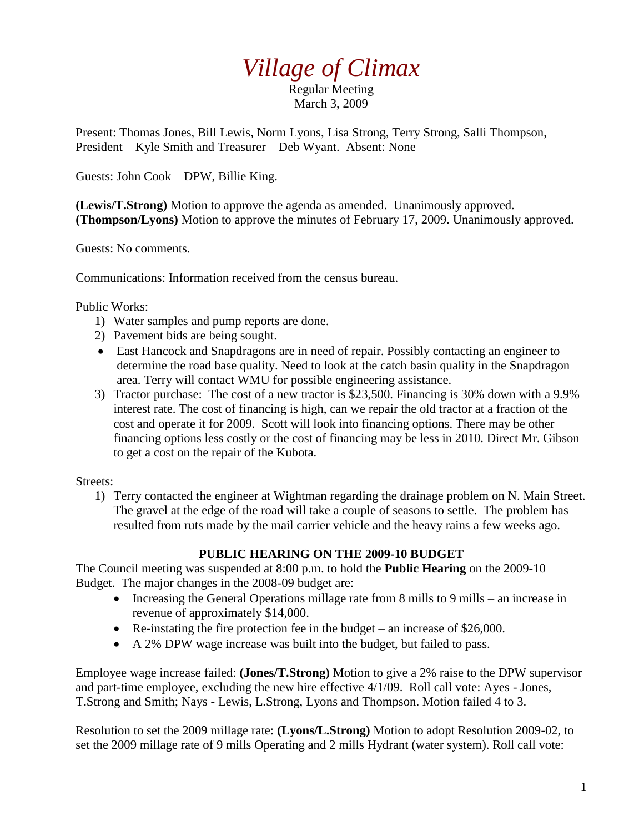## *Village of Climax*

Regular Meeting March 3, 2009

Present: Thomas Jones, Bill Lewis, Norm Lyons, Lisa Strong, Terry Strong, Salli Thompson, President – Kyle Smith and Treasurer – Deb Wyant. Absent: None

Guests: John Cook – DPW, Billie King.

**(Lewis/T.Strong)** Motion to approve the agenda as amended. Unanimously approved. **(Thompson/Lyons)** Motion to approve the minutes of February 17, 2009. Unanimously approved.

Guests: No comments.

Communications: Information received from the census bureau.

Public Works:

- 1) Water samples and pump reports are done.
- 2) Pavement bids are being sought.
- East Hancock and Snapdragons are in need of repair. Possibly contacting an engineer to determine the road base quality. Need to look at the catch basin quality in the Snapdragon area. Terry will contact WMU for possible engineering assistance.
- 3) Tractor purchase: The cost of a new tractor is \$23,500. Financing is 30% down with a 9.9% interest rate. The cost of financing is high, can we repair the old tractor at a fraction of the cost and operate it for 2009. Scott will look into financing options. There may be other financing options less costly or the cost of financing may be less in 2010. Direct Mr. Gibson to get a cost on the repair of the Kubota.

Streets:

1) Terry contacted the engineer at Wightman regarding the drainage problem on N. Main Street. The gravel at the edge of the road will take a couple of seasons to settle. The problem has resulted from ruts made by the mail carrier vehicle and the heavy rains a few weeks ago.

## **PUBLIC HEARING ON THE 2009-10 BUDGET**

The Council meeting was suspended at 8:00 p.m. to hold the **Public Hearing** on the 2009-10 Budget. The major changes in the 2008-09 budget are:

- Increasing the General Operations millage rate from 8 mills to 9 mills an increase in revenue of approximately \$14,000.
- Re-instating the fire protection fee in the budget an increase of \$26,000.
- A 2% DPW wage increase was built into the budget, but failed to pass.

Employee wage increase failed: **(Jones/T.Strong)** Motion to give a 2% raise to the DPW supervisor and part-time employee, excluding the new hire effective 4/1/09. Roll call vote: Ayes - Jones, T.Strong and Smith; Nays - Lewis, L.Strong, Lyons and Thompson. Motion failed 4 to 3.

Resolution to set the 2009 millage rate: **(Lyons/L.Strong)** Motion to adopt Resolution 2009-02, to set the 2009 millage rate of 9 mills Operating and 2 mills Hydrant (water system). Roll call vote: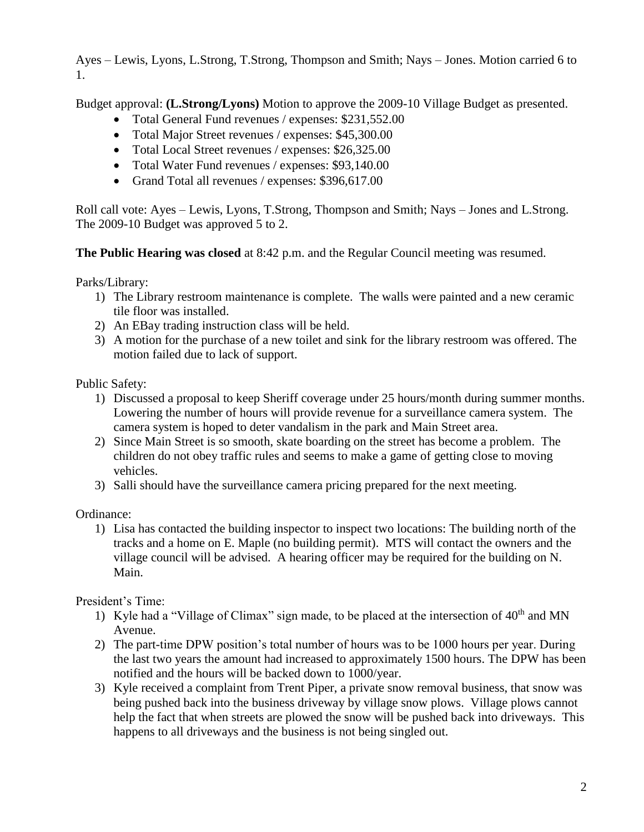Ayes – Lewis, Lyons, L.Strong, T.Strong, Thompson and Smith; Nays – Jones. Motion carried 6 to 1.

Budget approval: **(L.Strong/Lyons)** Motion to approve the 2009-10 Village Budget as presented.

- Total General Fund revenues / expenses: \$231,552.00
- Total Major Street revenues / expenses: \$45,300.00
- Total Local Street revenues / expenses: \$26,325.00
- Total Water Fund revenues / expenses: \$93,140.00
- Grand Total all revenues / expenses: \$396,617.00

Roll call vote: Ayes – Lewis, Lyons, T.Strong, Thompson and Smith; Nays – Jones and L.Strong. The 2009-10 Budget was approved 5 to 2.

**The Public Hearing was closed** at 8:42 p.m. and the Regular Council meeting was resumed.

Parks/Library:

- 1) The Library restroom maintenance is complete. The walls were painted and a new ceramic tile floor was installed.
- 2) An EBay trading instruction class will be held.
- 3) A motion for the purchase of a new toilet and sink for the library restroom was offered. The motion failed due to lack of support.

Public Safety:

- 1) Discussed a proposal to keep Sheriff coverage under 25 hours/month during summer months. Lowering the number of hours will provide revenue for a surveillance camera system. The camera system is hoped to deter vandalism in the park and Main Street area.
- 2) Since Main Street is so smooth, skate boarding on the street has become a problem. The children do not obey traffic rules and seems to make a game of getting close to moving vehicles.
- 3) Salli should have the surveillance camera pricing prepared for the next meeting.

Ordinance:

1) Lisa has contacted the building inspector to inspect two locations: The building north of the tracks and a home on E. Maple (no building permit). MTS will contact the owners and the village council will be advised. A hearing officer may be required for the building on N. Main.

President's Time:

- 1) Kyle had a "Village of Climax" sign made, to be placed at the intersection of  $40<sup>th</sup>$  and MN Avenue.
- 2) The part-time DPW position's total number of hours was to be 1000 hours per year. During the last two years the amount had increased to approximately 1500 hours. The DPW has been notified and the hours will be backed down to 1000/year.
- 3) Kyle received a complaint from Trent Piper, a private snow removal business, that snow was being pushed back into the business driveway by village snow plows. Village plows cannot help the fact that when streets are plowed the snow will be pushed back into driveways. This happens to all driveways and the business is not being singled out.